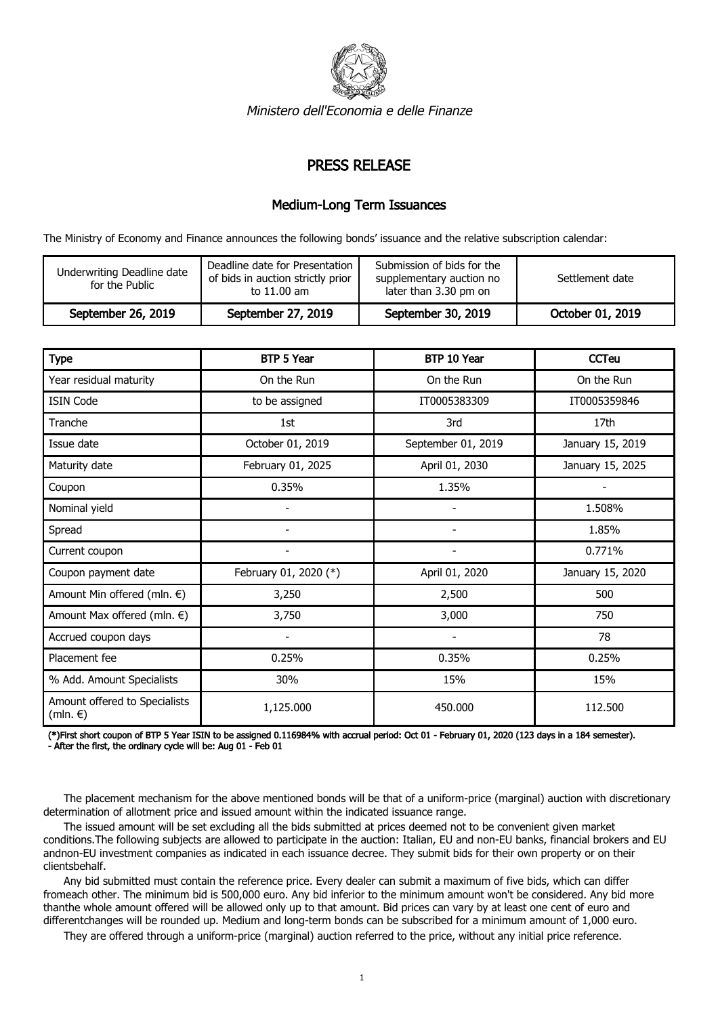

Ministero dell'Economia e delle Finanze

## PRESS RELEASE

## Medium-Long Term Issuances

The Ministry of Economy and Finance announces the following bonds' issuance and the relative subscription calendar:

| Underwriting Deadline date<br>for the Public | Deadline date for Presentation<br>of bids in auction strictly prior<br>to 11.00 am | Submission of bids for the<br>supplementary auction no<br>later than 3.30 pm on | Settlement date  |
|----------------------------------------------|------------------------------------------------------------------------------------|---------------------------------------------------------------------------------|------------------|
| September 26, 2019                           | September 27, 2019                                                                 | September 30, 2019                                                              | October 01, 2019 |

| <b>Type</b>                                         | BTP 5 Year               | BTP 10 Year              | <b>CCTeu</b>     |
|-----------------------------------------------------|--------------------------|--------------------------|------------------|
| Year residual maturity                              | On the Run               | On the Run               | On the Run       |
| <b>ISIN Code</b>                                    | to be assigned           | IT0005383309             | IT0005359846     |
| Tranche                                             | 1st                      | 3rd                      | 17th             |
| Issue date                                          | October 01, 2019         | September 01, 2019       | January 15, 2019 |
| Maturity date                                       | February 01, 2025        | April 01, 2030           | January 15, 2025 |
| Coupon                                              | 0.35%                    | 1.35%                    |                  |
| Nominal yield                                       |                          |                          | 1.508%           |
| Spread                                              | $\overline{\phantom{0}}$ | $\overline{\phantom{a}}$ | 1.85%            |
| Current coupon                                      | $\overline{\phantom{a}}$ | $\overline{\phantom{a}}$ | 0.771%           |
| Coupon payment date                                 | February 01, 2020 (*)    | April 01, 2020           | January 15, 2020 |
| Amount Min offered (mln. €)                         | 3,250                    | 2,500                    | 500              |
| Amount Max offered (mln. €)                         | 3,750                    | 3,000                    | 750              |
| Accrued coupon days                                 |                          | $\overline{\phantom{a}}$ | 78               |
| Placement fee                                       | 0.25%                    | 0.35%                    | 0.25%            |
| % Add. Amount Specialists                           | 30%                      | 15%                      | 15%              |
| Amount offered to Specialists<br>(mln. $\epsilon$ ) | 1,125.000                | 450.000                  | 112.500          |

(\*)First short coupon of BTP 5 Year ISIN to be assigned 0.116984% with accrual period: Oct 01 - February 01, 2020 (123 days in a 184 semester). - After the first, the ordinary cycle will be: Aug 01 - Feb 01

 The placement mechanism for the above mentioned bonds will be that of a uniform-price (marginal) auction with discretionary determination of allotment price and issued amount within the indicated issuance range.

 The issued amount will be set excluding all the bids submitted at prices deemed not to be convenient given market conditions.The following subjects are allowed to participate in the auction: Italian, EU and non-EU banks, financial brokers and EU andnon-EU investment companies as indicated in each issuance decree. They submit bids for their own property or on their clientsbehalf.

 Any bid submitted must contain the reference price. Every dealer can submit a maximum of five bids, which can differ fromeach other. The minimum bid is 500,000 euro. Any bid inferior to the minimum amount won't be considered. Any bid more thanthe whole amount offered will be allowed only up to that amount. Bid prices can vary by at least one cent of euro and differentchanges will be rounded up. Medium and long-term bonds can be subscribed for a minimum amount of 1,000 euro.

They are offered through a uniform-price (marginal) auction referred to the price, without any initial price reference.